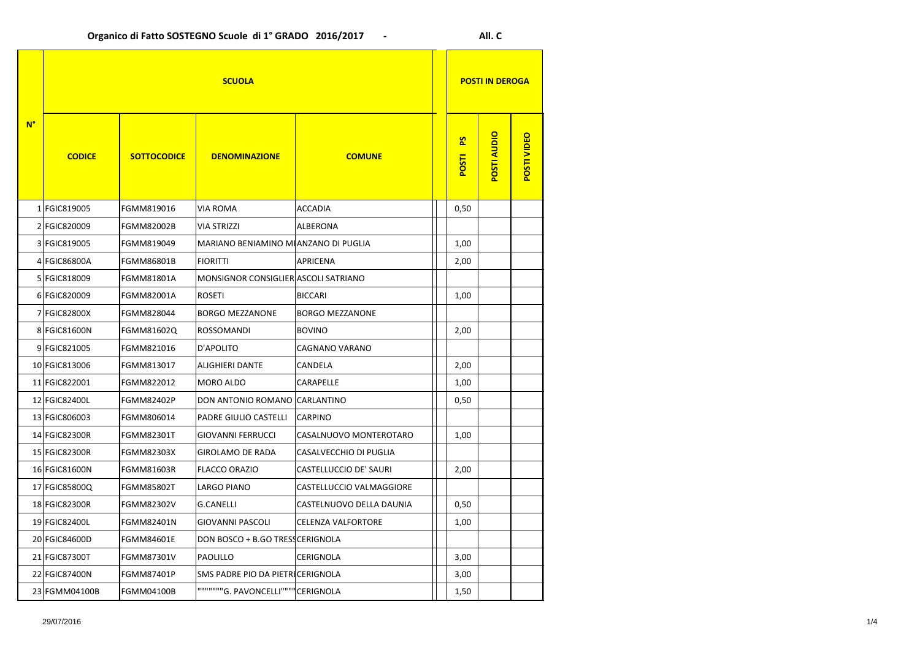| $N^{\circ}$ | <b>SCUOLA</b> |                    |                                             |                               |                                | <b>POSTI IN DEROGA</b> |                    |  |
|-------------|---------------|--------------------|---------------------------------------------|-------------------------------|--------------------------------|------------------------|--------------------|--|
|             | <b>CODICE</b> | <b>SOTTOCODICE</b> | <b>DENOMINAZIONE</b>                        | <b>COMUNE</b>                 | $\overline{S}$<br><b>POSTI</b> | <b>POSTI AUDIO</b>     | <b>POSTI VIDEO</b> |  |
|             | 1 FGIC819005  | FGMM819016         | <b>VIA ROMA</b>                             | <b>ACCADIA</b>                | 0,50                           |                        |                    |  |
|             | 2 FGIC820009  | <b>FGMM82002B</b>  | <b>VIA STRIZZI</b>                          | <b>ALBERONA</b>               |                                |                        |                    |  |
|             | 3 FGIC819005  | FGMM819049         | <b>MARIANO BENIAMINO MIANZANO DI PUGLIA</b> |                               | 1,00                           |                        |                    |  |
|             | 4 FGIC86800A  | <b>FGMM86801B</b>  | <b>FIORITTI</b>                             | <b>APRICENA</b>               | 2,00                           |                        |                    |  |
|             | 5 FGIC818009  | <b>FGMM81801A</b>  | MONSIGNOR CONSIGLIER ASCOLI SATRIANO        |                               |                                |                        |                    |  |
|             | 6 FGIC820009  | <b>FGMM82001A</b>  | <b>ROSETI</b>                               | <b>BICCARI</b>                | 1,00                           |                        |                    |  |
|             | 7 FGIC82800X  | FGMM828044         | <b>BORGO MEZZANONE</b>                      | <b>BORGO MEZZANONE</b>        |                                |                        |                    |  |
|             | 8 FGIC81600N  | FGMM81602Q         | <b>ROSSOMANDI</b>                           | <b>BOVINO</b>                 | 2,00                           |                        |                    |  |
|             | 9 FGIC821005  | FGMM821016         | D'APOLITO                                   | <b>CAGNANO VARANO</b>         |                                |                        |                    |  |
|             | 10 FGIC813006 | FGMM813017         | <b>ALIGHIERI DANTE</b>                      | <b>CANDELA</b>                | 2,00                           |                        |                    |  |
|             | 11 FGIC822001 | FGMM822012         | <b>MORO ALDO</b>                            | <b>CARAPELLE</b>              | 1,00                           |                        |                    |  |
|             | 12 FGIC82400L | <b>FGMM82402P</b>  | DON ANTONIO ROMANO CARLANTINO               |                               | 0,50                           |                        |                    |  |
|             | 13 FGIC806003 | FGMM806014         | <b>PADRE GIULIO CASTELLI</b>                | <b>CARPINO</b>                |                                |                        |                    |  |
|             | 14 FGIC82300R | <b>FGMM82301T</b>  | <b>GIOVANNI FERRUCCI</b>                    | CASALNUOVO MONTEROTARO        | 1,00                           |                        |                    |  |
|             | 15 FGIC82300R | <b>FGMM82303X</b>  | <b>GIROLAMO DE RADA</b>                     | <b>CASALVECCHIO DI PUGLIA</b> |                                |                        |                    |  |
|             | 16 FGIC81600N | FGMM81603R         | <b>FLACCO ORAZIO</b>                        | <b>CASTELLUCCIO DE' SAURI</b> | 2,00                           |                        |                    |  |
|             | 17 FGIC85800Q | <b>FGMM85802T</b>  | <b>LARGO PIANO</b>                          | CASTELLUCCIO VALMAGGIORE      |                                |                        |                    |  |
|             | 18 FGIC82300R | <b>FGMM82302V</b>  | <b>G.CANELLI</b>                            | CASTELNUOVO DELLA DAUNIA      | 0,50                           |                        |                    |  |
|             | 19 FGIC82400L | FGMM82401N         | <b>GIOVANNI PASCOLI</b>                     | <b>CELENZA VALFORTORE</b>     | 1,00                           |                        |                    |  |
|             | 20 FGIC84600D | <b>FGMM84601E</b>  | DON BOSCO + B.GO TRESS CERIGNOLA            |                               |                                |                        |                    |  |
|             | 21 FGIC87300T | FGMM87301V         | <b>PAOLILLO</b>                             | <b>CERIGNOLA</b>              | 3,00                           |                        |                    |  |
|             | 22 FGIC87400N | <b>FGMM87401P</b>  | SMS PADRE PIO DA PIETRICERIGNOLA            |                               | 3,00                           |                        |                    |  |
|             | 23 FGMM04100B | <b>FGMM04100B</b>  | """""""G. PAVONCELLI"""" CERIGNOLA          |                               | 1,50                           |                        |                    |  |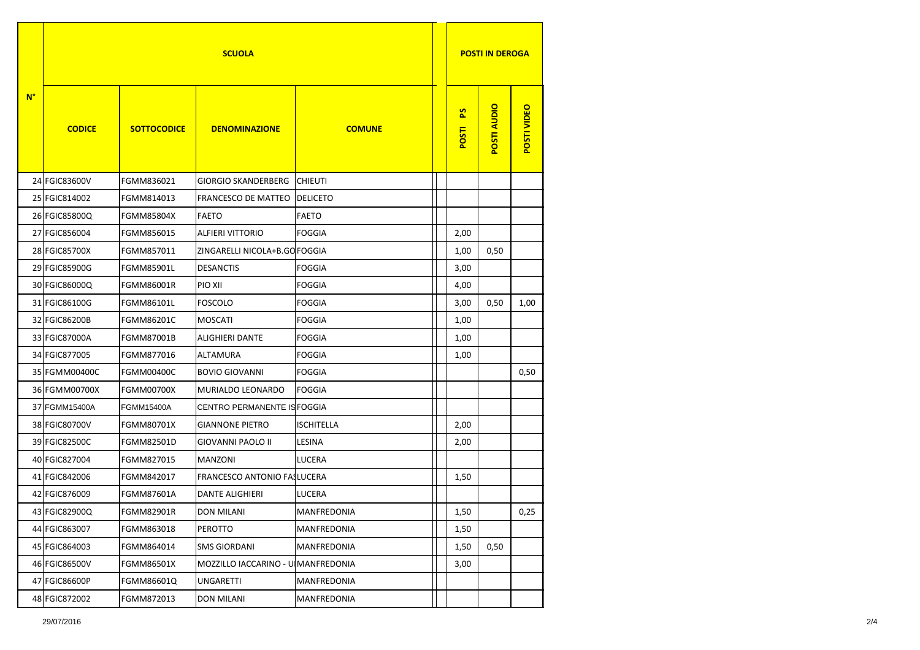| $N^{\circ}$ | <b>SCUOLA</b> |                    |                                    |                    | <b>POSTI IN DEROGA</b>  |                    |             |
|-------------|---------------|--------------------|------------------------------------|--------------------|-------------------------|--------------------|-------------|
|             | <b>CODICE</b> | <b>SOTTOCODICE</b> | <b>DENOMINAZIONE</b>               | <b>COMUNE</b>      | $\overline{S}$<br>POSTI | <b>POSTI AUDIO</b> | POSTI VIDEO |
|             | 24 FGIC83600V | FGMM836021         | <b>GIORGIO SKANDERBERG</b>         | <b>CHIEUTI</b>     |                         |                    |             |
|             | 25 FGIC814002 | FGMM814013         | <b>FRANCESCO DE MATTEO</b>         | <b>DELICETO</b>    |                         |                    |             |
|             | 26 FGIC85800Q | <b>FGMM85804X</b>  | <b>FAETO</b>                       | <b>FAETO</b>       |                         |                    |             |
|             | 27 FGIC856004 | FGMM856015         | <b>ALFIERI VITTORIO</b>            | <b>FOGGIA</b>      | 2,00                    |                    |             |
|             | 28 FGIC85700X | FGMM857011         | ZINGARELLI NICOLA+B.GO FOGGIA      |                    | 1,00                    | 0,50               |             |
|             | 29 FGIC85900G | <b>FGMM85901L</b>  | <b>DESANCTIS</b>                   | <b>FOGGIA</b>      | 3,00                    |                    |             |
|             | 30 FGIC86000Q | <b>FGMM86001R</b>  | PIO XII                            | <b>FOGGIA</b>      | 4,00                    |                    |             |
|             | 31 FGIC86100G | <b>FGMM86101L</b>  | <b>FOSCOLO</b>                     | <b>FOGGIA</b>      | 3,00                    | 0,50               | 1,00        |
|             | 32 FGIC86200B | <b>FGMM86201C</b>  | <b>MOSCATI</b>                     | <b>FOGGIA</b>      | 1,00                    |                    |             |
|             | 33 FGIC87000A | <b>FGMM87001B</b>  | <b>ALIGHIERI DANTE</b>             | <b>FOGGIA</b>      | 1,00                    |                    |             |
|             | 34 FGIC877005 | FGMM877016         | <b>ALTAMURA</b>                    | <b>FOGGIA</b>      | 1,00                    |                    |             |
|             | 35 FGMM00400C | <b>FGMM00400C</b>  | <b>BOVIO GIOVANNI</b>              | <b>FOGGIA</b>      |                         |                    | 0,50        |
|             | 36 FGMM00700X | <b>FGMM00700X</b>  | MURIALDO LEONARDO                  | <b>FOGGIA</b>      |                         |                    |             |
|             | 37 FGMM15400A | FGMM15400A         | CENTRO PERMANENTE IS FOGGIA        |                    |                         |                    |             |
|             | 38 FGIC80700V | <b>FGMM80701X</b>  | <b>GIANNONE PIETRO</b>             | <b>ISCHITELLA</b>  | 2,00                    |                    |             |
|             | 39 FGIC82500C | FGMM82501D         | <b>GIOVANNI PAOLO II</b>           | <b>LESINA</b>      | 2,00                    |                    |             |
|             | 40 FGIC827004 | FGMM827015         | <b>MANZONI</b>                     | <b>LUCERA</b>      |                         |                    |             |
|             | 41 FGIC842006 | FGMM842017         | <b>FRANCESCO ANTONIO FAILUCERA</b> |                    | 1,50                    |                    |             |
|             | 42 FGIC876009 | FGMM87601A         | <b>DANTE ALIGHIERI</b>             | <b>LUCERA</b>      |                         |                    |             |
|             | 43 FGIC82900Q | <b>FGMM82901R</b>  | <b>DON MILANI</b>                  | <b>MANFREDONIA</b> | 1,50                    |                    | 0,25        |
|             | 44 FGIC863007 | FGMM863018         | <b>PEROTTO</b>                     | <b>MANFREDONIA</b> | 1,50                    |                    |             |
|             | 45 FGIC864003 | FGMM864014         | <b>SMS GIORDANI</b>                | <b>MANFREDONIA</b> | 1,50                    | 0,50               |             |
|             | 46 FGIC86500V | <b>FGMM86501X</b>  | MOZZILLO IACCARINO - U MANFREDONIA |                    | 3,00                    |                    |             |
|             | 47 FGIC86600P | FGMM86601Q         | <b>UNGARETTI</b>                   | <b>MANFREDONIA</b> |                         |                    |             |
|             | 48 FGIC872002 | FGMM872013         | <b>DON MILANI</b>                  | <b>MANFREDONIA</b> |                         |                    |             |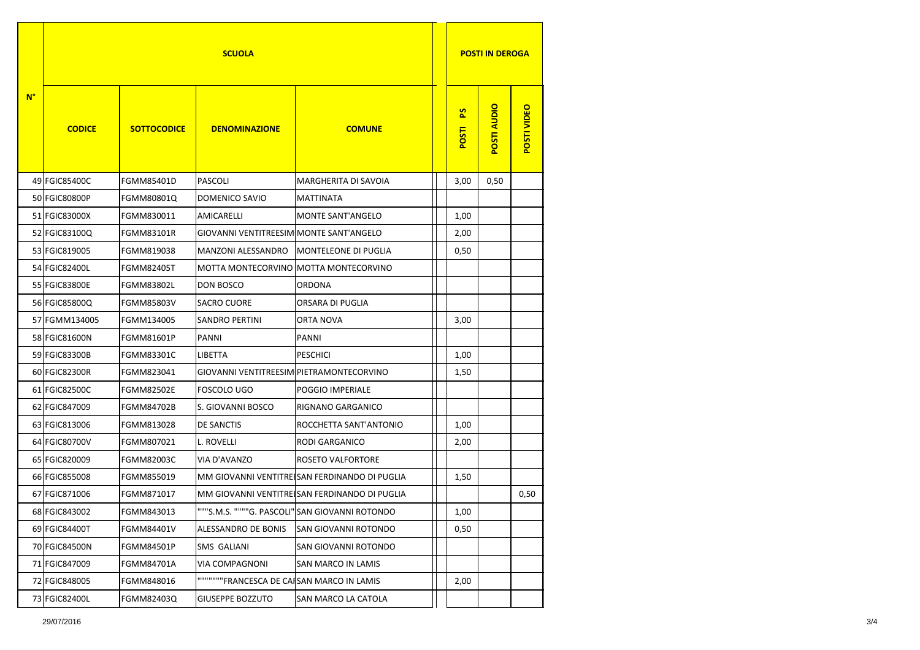| $N^{\circ}$ | <b>SCUOLA</b> |                    |                                                |                                                | <b>POSTI IN DEROGA</b>  |                    |                    |
|-------------|---------------|--------------------|------------------------------------------------|------------------------------------------------|-------------------------|--------------------|--------------------|
|             | <b>CODICE</b> | <b>SOTTOCODICE</b> | <b>DENOMINAZIONE</b>                           | <b>COMUNE</b>                                  | $\overline{S}$<br>POSTI | <b>POSTI AUDIO</b> | <b>POSTI VIDEO</b> |
|             | 49 FGIC85400C | <b>FGMM85401D</b>  | <b>PASCOLI</b>                                 | <b>MARGHERITA DI SAVOIA</b>                    | 3,00                    | 0,50               |                    |
|             | 50 FGIC80800P | <b>FGMM80801Q</b>  | <b>DOMENICO SAVIO</b>                          | <b>MATTINATA</b>                               |                         |                    |                    |
|             | 51 FGIC83000X | FGMM830011         | <b>AMICARELLI</b>                              | <b>MONTE SANT'ANGELO</b>                       | 1,00                    |                    |                    |
|             | 52 FGIC83100Q | <b>FGMM83101R</b>  | <b>GIOVANNI VENTITREESIM MONTE SANT'ANGELO</b> |                                                | 2,00                    |                    |                    |
|             | 53 FGIC819005 | FGMM819038         | <b>MANZONI ALESSANDRO</b>                      | <b>MONTELEONE DI PUGLIA</b>                    | 0,50                    |                    |                    |
|             | 54 FGIC82400L | <b>FGMM82405T</b>  | MOTTA MONTECORVINO MOTTA MONTECORVINO          |                                                |                         |                    |                    |
|             | 55 FGIC83800E | <b>FGMM83802L</b>  | <b>DON BOSCO</b>                               | <b>ORDONA</b>                                  |                         |                    |                    |
|             | 56 FGIC85800Q | <b>FGMM85803V</b>  | <b>SACRO CUORE</b>                             | <b>ORSARA DI PUGLIA</b>                        |                         |                    |                    |
|             | 57 FGMM134005 | FGMM134005         | <b>SANDRO PERTINI</b>                          | <b>ORTA NOVA</b>                               | 3,00                    |                    |                    |
|             | 58 FGIC81600N | <b>FGMM81601P</b>  | <b>PANNI</b>                                   | <b>PANNI</b>                                   |                         |                    |                    |
|             | 59 FGIC83300B | <b>FGMM83301C</b>  | <b>LIBETTA</b>                                 | <b>PESCHICI</b>                                | 1,00                    |                    |                    |
|             | 60 FGIC82300R | FGMM823041         | GIOVANNI VENTITREESIM PIETRAMONTECORVINO       |                                                | 1,50                    |                    |                    |
|             | 61 FGIC82500C | <b>FGMM82502E</b>  | <b>FOSCOLO UGO</b>                             | <b>POGGIO IMPERIALE</b>                        |                         |                    |                    |
|             | 62 FGIC847009 | <b>FGMM84702B</b>  | S. GIOVANNI BOSCO                              | <b>RIGNANO GARGANICO</b>                       |                         |                    |                    |
|             | 63 FGIC813006 | FGMM813028         | <b>DE SANCTIS</b>                              | ROCCHETTA SANT'ANTONIO                         | 1,00                    |                    |                    |
|             | 64 FGIC80700V | FGMM807021         | L. ROVELLI                                     | <b>RODI GARGANICO</b>                          | 2,00                    |                    |                    |
|             | 65 FGIC820009 | <b>FGMM82003C</b>  | VIA D'AVANZO                                   | <b>ROSETO VALFORTORE</b>                       |                         |                    |                    |
|             | 66 FGIC855008 | FGMM855019         |                                                | MM GIOVANNI VENTITRE SAN FERDINANDO DI PUGLIA  | 1,50                    |                    |                    |
|             | 67 FGIC871006 | FGMM871017         |                                                | MM GIOVANNI VENTITRE SAN FERDINANDO DI PUGLIA  |                         |                    | 0,50               |
|             | 68 FGIC843002 | FGMM843013         |                                                | """S.M.S. """"G. PASCOLI" SAN GIOVANNI ROTONDO | 1,00                    |                    |                    |
|             | 69 FGIC84400T | FGMM84401V         | ALESSANDRO DE BONIS                            | SAN GIOVANNI ROTONDO                           | 0,50                    |                    |                    |
|             | 70 FGIC84500N | <b>FGMM84501P</b>  | <b>SMS GALIANI</b>                             | <b>SAN GIOVANNI ROTONDO</b>                    |                         |                    |                    |
|             | 71 FGIC847009 | <b>FGMM84701A</b>  | VIA COMPAGNONI                                 | <b>SAN MARCO IN LAMIS</b>                      |                         |                    |                    |
|             | 72 FGIC848005 | FGMM848016         | """""""FRANCESCA DE CAISAN MARCO IN LAMIS      |                                                | 2,00                    |                    |                    |
|             | 73 FGIC82400L | FGMM82403Q         | <b>GIUSEPPE BOZZUTO</b>                        | <b>SAN MARCO LA CATOLA</b>                     |                         |                    |                    |